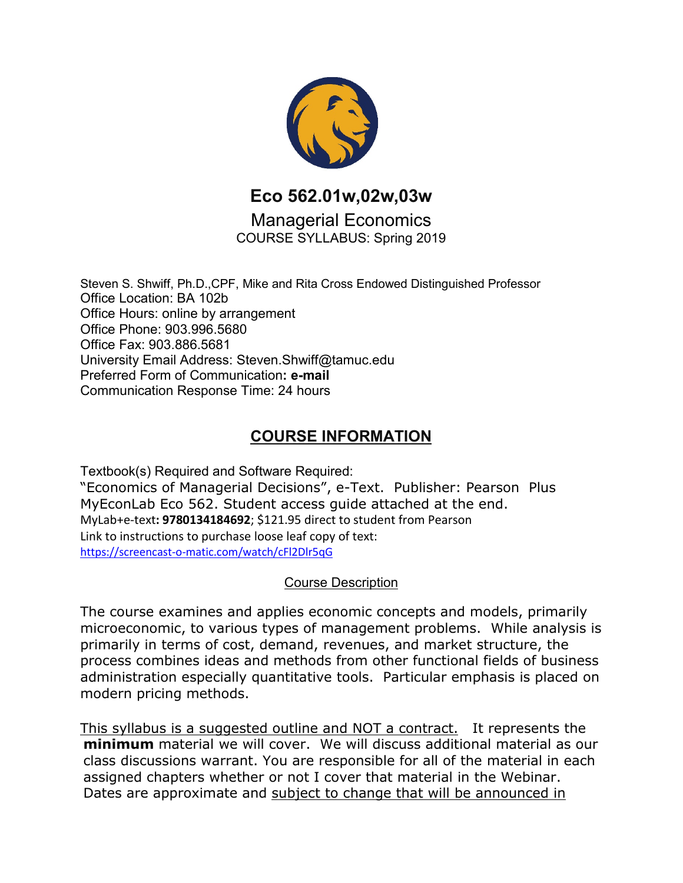

**Eco 562.01w,02w,03w**

Managerial Economics COURSE SYLLABUS: Spring 2019

Steven S. Shwiff, Ph.D.,CPF, Mike and Rita Cross Endowed Distinguished Professor Office Location: BA 102b Office Hours: online by arrangement Office Phone: 903.996.5680 Office Fax: 903.886.5681 University Email Address: Steven.Shwiff@tamuc.edu Preferred Form of Communication**: e-mail** Communication Response Time: 24 hours

# **COURSE INFORMATION**

Textbook(s) Required and Software Required: "Economics of Managerial Decisions", e-Text. Publisher: Pearson Plus MyEconLab Eco 562. Student access guide attached at the end. MyLab+e-text**: 9780134184692**; \$121.95 direct to student from Pearson Link to instructions to purchase loose leaf copy of text: [https://screencast-o-matic.com/watch/cFl2Dlr5qG](https://outlook.tamuc.edu/owa/redir.aspx?C=4zrYq6dZ7gHS7LTybJPkK68GHiqVCG_H1Ltgwsv_EJ74ZKIl9WHWCA..&URL=https%3a%2f%2furldefense.proofpoint.com%2fv2%2furl%3fu%3dhttps-3A__screencast-2Do-2Dmatic.com_watch_cFl2Dlr5qG%26d%3dDwMFaQ%26c%3doqyuZuih6ykib6aKiBq22_bich4AVfYGoLertJN0bEc%26r%3d4aAc5dPLojxIXLF7WYBaEAvCx9leBxyvRkhbvMTMgk0%26m%3dhA7u864dTbEWfFpEWK7Ptx6iTjjwLNDIhm2La42m4W0%26s%3dO8B-Hvc56XkCjmNlfe8UxDiRBAu2GiYYSjNshmdYan4%26e%3d)

#### Course Description

The course examines and applies economic concepts and models, primarily microeconomic, to various types of management problems. While analysis is primarily in terms of cost, demand, revenues, and market structure, the process combines ideas and methods from other functional fields of business administration especially quantitative tools. Particular emphasis is placed on modern pricing methods.

This syllabus is a suggested outline and NOT a contract. It represents the **minimum** material we will cover. We will discuss additional material as our class discussions warrant. You are responsible for all of the material in each assigned chapters whether or not I cover that material in the Webinar. Dates are approximate and subject to change that will be announced in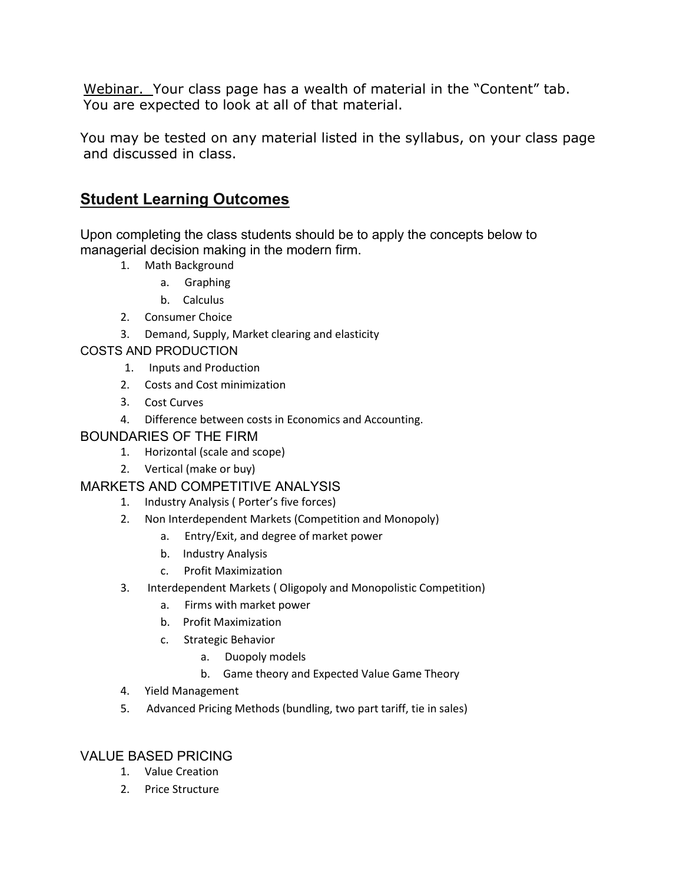Webinar. Your class page has a wealth of material in the "Content" tab. You are expected to look at all of that material.

You may be tested on any material listed in the syllabus, on your class page and discussed in class.

### **Student Learning Outcomes**

Upon completing the class students should be to apply the concepts below to managerial decision making in the modern firm.

- 1. Math Background
	- a. Graphing
	- b. Calculus
- 2. Consumer Choice
- 3. Demand, Supply, Market clearing and elasticity

#### COSTS AND PRODUCTION

- 1. Inputs and Production
- 2. Costs and Cost minimization
- 3. Cost Curves
- 4. Difference between costs in Economics and Accounting.

#### BOUNDARIES OF THE FIRM

- 1. Horizontal (scale and scope)
- 2. Vertical (make or buy)

#### MARKETS AND COMPETITIVE ANALYSIS

- 1. Industry Analysis ( Porter's five forces)
- 2. Non Interdependent Markets (Competition and Monopoly)
	- a. Entry/Exit, and degree of market power
	- b. Industry Analysis
	- c. Profit Maximization
- 3. Interdependent Markets ( Oligopoly and Monopolistic Competition)
	- a. Firms with market power
	- b. Profit Maximization
	- c. Strategic Behavior
		- a. Duopoly models
		- b. Game theory and Expected Value Game Theory
- 4. Yield Management
- 5. Advanced Pricing Methods (bundling, two part tariff, tie in sales)

#### VALUE BASED PRICING

- 1. Value Creation
- 2. Price Structure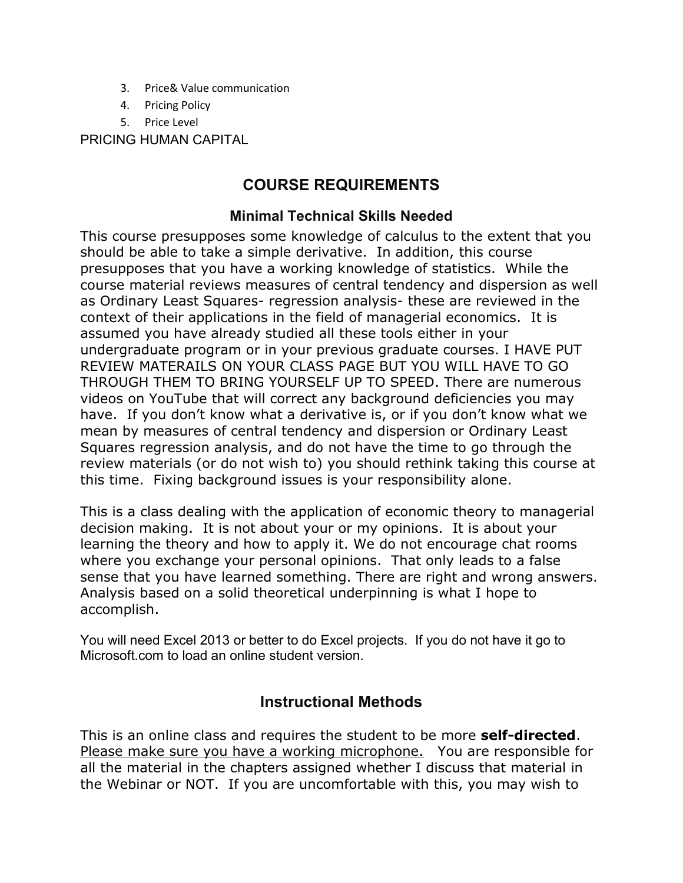- 3. Price& Value communication
- 4. Pricing Policy
- 5. Price Level

PRICING HUMAN CAPITAL

### **COURSE REQUIREMENTS**

### **Minimal Technical Skills Needed**

This course presupposes some knowledge of calculus to the extent that you should be able to take a simple derivative. In addition, this course presupposes that you have a working knowledge of statistics. While the course material reviews measures of central tendency and dispersion as well as Ordinary Least Squares- regression analysis- these are reviewed in the context of their applications in the field of managerial economics. It is assumed you have already studied all these tools either in your undergraduate program or in your previous graduate courses. I HAVE PUT REVIEW MATERAILS ON YOUR CLASS PAGE BUT YOU WILL HAVE TO GO THROUGH THEM TO BRING YOURSELF UP TO SPEED. There are numerous videos on YouTube that will correct any background deficiencies you may have. If you don't know what a derivative is, or if you don't know what we mean by measures of central tendency and dispersion or Ordinary Least Squares regression analysis, and do not have the time to go through the review materials (or do not wish to) you should rethink taking this course at this time. Fixing background issues is your responsibility alone.

This is a class dealing with the application of economic theory to managerial decision making. It is not about your or my opinions. It is about your learning the theory and how to apply it. We do not encourage chat rooms where you exchange your personal opinions. That only leads to a false sense that you have learned something. There are right and wrong answers. Analysis based on a solid theoretical underpinning is what I hope to accomplish.

You will need Excel 2013 or better to do Excel projects. If you do not have it go to Microsoft.com to load an online student version.

### **Instructional Methods**

This is an online class and requires the student to be more **self-directed**. Please make sure you have a working microphone. You are responsible for all the material in the chapters assigned whether I discuss that material in the Webinar or NOT. If you are uncomfortable with this, you may wish to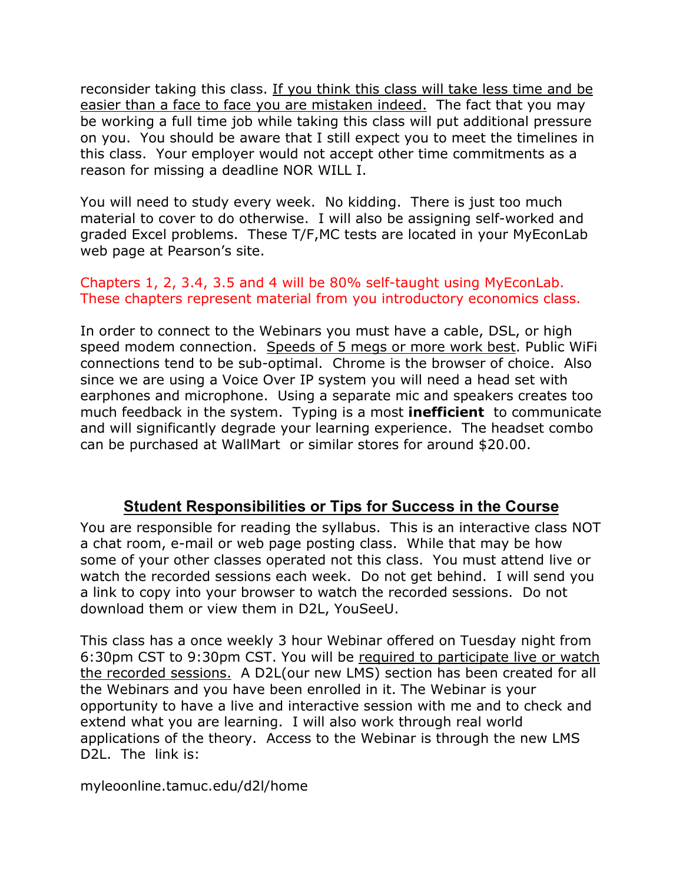reconsider taking this class. If you think this class will take less time and be easier than a face to face you are mistaken indeed. The fact that you may be working a full time job while taking this class will put additional pressure on you. You should be aware that I still expect you to meet the timelines in this class. Your employer would not accept other time commitments as a reason for missing a deadline NOR WILL I.

You will need to study every week. No kidding. There is just too much material to cover to do otherwise. I will also be assigning self-worked and graded Excel problems. These T/F,MC tests are located in your MyEconLab web page at Pearson's site.

#### Chapters 1, 2, 3.4, 3.5 and 4 will be 80% self-taught using MyEconLab. These chapters represent material from you introductory economics class.

In order to connect to the Webinars you must have a cable, DSL, or high speed modem connection. Speeds of 5 megs or more work best. Public WiFi connections tend to be sub-optimal. Chrome is the browser of choice. Also since we are using a Voice Over IP system you will need a head set with earphones and microphone. Using a separate mic and speakers creates too much feedback in the system. Typing is a most **inefficient** to communicate and will significantly degrade your learning experience. The headset combo can be purchased at WallMart or similar stores for around \$20.00.

### **Student Responsibilities or Tips for Success in the Course**

You are responsible for reading the syllabus. This is an interactive class NOT a chat room, e-mail or web page posting class. While that may be how some of your other classes operated not this class. You must attend live or watch the recorded sessions each week. Do not get behind. I will send you a link to copy into your browser to watch the recorded sessions. Do not download them or view them in D2L, YouSeeU.

This class has a once weekly 3 hour Webinar offered on Tuesday night from 6:30pm CST to 9:30pm CST. You will be required to participate live or watch the recorded sessions. A D2L(our new LMS) section has been created for all the Webinars and you have been enrolled in it. The Webinar is your opportunity to have a live and interactive session with me and to check and extend what you are learning. I will also work through real world applications of the theory. Access to the Webinar is through the new LMS D2L. The link is:

myleoonline.tamuc.edu/d2l/home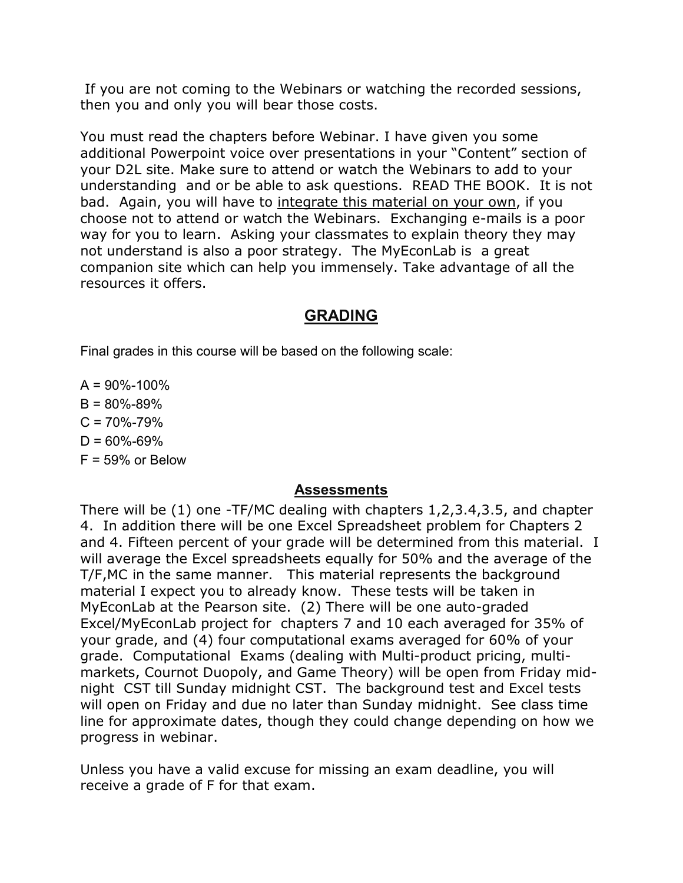If you are not coming to the Webinars or watching the recorded sessions, then you and only you will bear those costs.

You must read the chapters before Webinar. I have given you some additional Powerpoint voice over presentations in your "Content" section of your D2L site. Make sure to attend or watch the Webinars to add to your understanding and or be able to ask questions. READ THE BOOK. It is not bad. Again, you will have to integrate this material on your own, if you choose not to attend or watch the Webinars. Exchanging e-mails is a poor way for you to learn. Asking your classmates to explain theory they may not understand is also a poor strategy. The MyEconLab is a great companion site which can help you immensely. Take advantage of all the resources it offers.

### **GRADING**

Final grades in this course will be based on the following scale:

 $A = 90\% - 100\%$  $B = 80\% - 89\%$  $C = 70\% - 79\%$  $D = 60\% - 69\%$  $F = 59\%$  or Below

#### **Assessments**

There will be (1) one -TF/MC dealing with chapters 1,2,3.4,3.5, and chapter 4. In addition there will be one Excel Spreadsheet problem for Chapters 2 and 4. Fifteen percent of your grade will be determined from this material. I will average the Excel spreadsheets equally for 50% and the average of the T/F,MC in the same manner. This material represents the background material I expect you to already know. These tests will be taken in MyEconLab at the Pearson site. (2) There will be one auto-graded Excel/MyEconLab project for chapters 7 and 10 each averaged for 35% of your grade, and (4) four computational exams averaged for 60% of your grade. Computational Exams (dealing with Multi-product pricing, multimarkets, Cournot Duopoly, and Game Theory) will be open from Friday midnight CST till Sunday midnight CST. The background test and Excel tests will open on Friday and due no later than Sunday midnight. See class time line for approximate dates, though they could change depending on how we progress in webinar.

Unless you have a valid excuse for missing an exam deadline, you will receive a grade of F for that exam.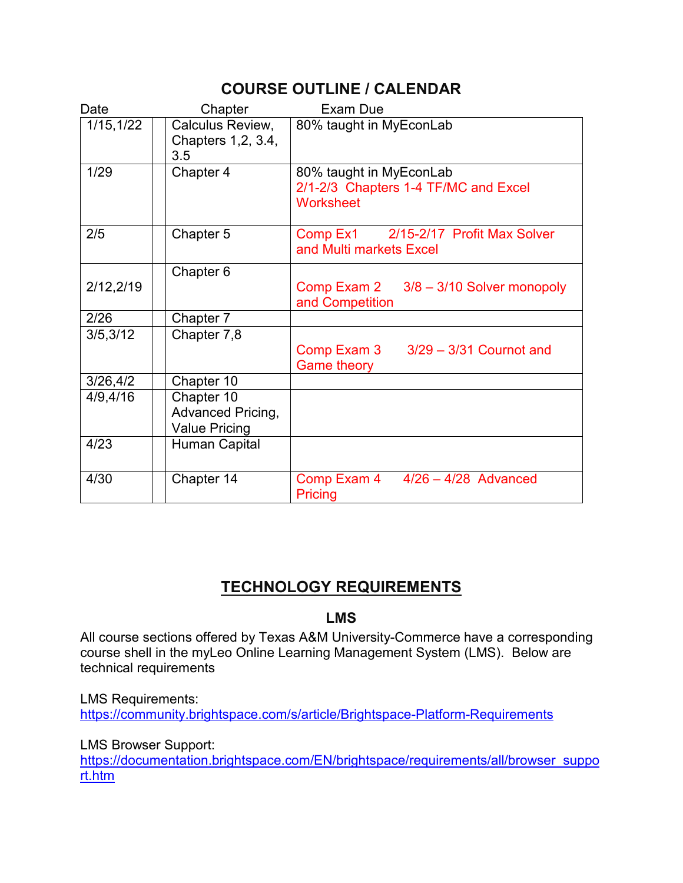# **COURSE OUTLINE / CALENDAR**

| Date       | Chapter                                                        | Exam Due                                                                            |
|------------|----------------------------------------------------------------|-------------------------------------------------------------------------------------|
| 1/15, 1/22 | Calculus Review,<br>Chapters 1, 2, 3.4,<br>3.5                 | 80% taught in MyEconLab                                                             |
| 1/29       | Chapter 4                                                      | 80% taught in MyEconLab<br>2/1-2/3 Chapters 1-4 TF/MC and Excel<br><b>Worksheet</b> |
| 2/5        | Chapter 5                                                      | Comp Ex1 2/15-2/17 Profit Max Solver<br>and Multi markets Excel                     |
|            | Chapter 6                                                      |                                                                                     |
| 2/12,2/19  |                                                                | Comp Exam 2 3/8 - 3/10 Solver monopoly<br>and Competition                           |
| 2/26       | Chapter 7                                                      |                                                                                     |
| 3/5,3/12   | Chapter 7,8                                                    | Comp Exam $3 \times 3/29 - 3/31$ Cournot and<br><b>Game theory</b>                  |
| 3/26,4/2   | Chapter 10                                                     |                                                                                     |
| 4/9,4/16   | Chapter 10<br><b>Advanced Pricing,</b><br><b>Value Pricing</b> |                                                                                     |
| 4/23       | <b>Human Capital</b>                                           |                                                                                     |
| 4/30       | Chapter 14                                                     | $4/26 - 4/28$ Advanced<br>Comp Exam 4<br>Pricing                                    |

# **TECHNOLOGY REQUIREMENTS**

#### **LMS**

All course sections offered by Texas A&M University-Commerce have a corresponding course shell in the myLeo Online Learning Management System (LMS). Below are technical requirements

LMS Requirements: <https://community.brightspace.com/s/article/Brightspace-Platform-Requirements>

LMS Browser Support:

[https://documentation.brightspace.com/EN/brightspace/requirements/all/browser\\_suppo](https://documentation.brightspace.com/EN/brightspace/requirements/all/browser_support.htm) [rt.htm](https://documentation.brightspace.com/EN/brightspace/requirements/all/browser_support.htm)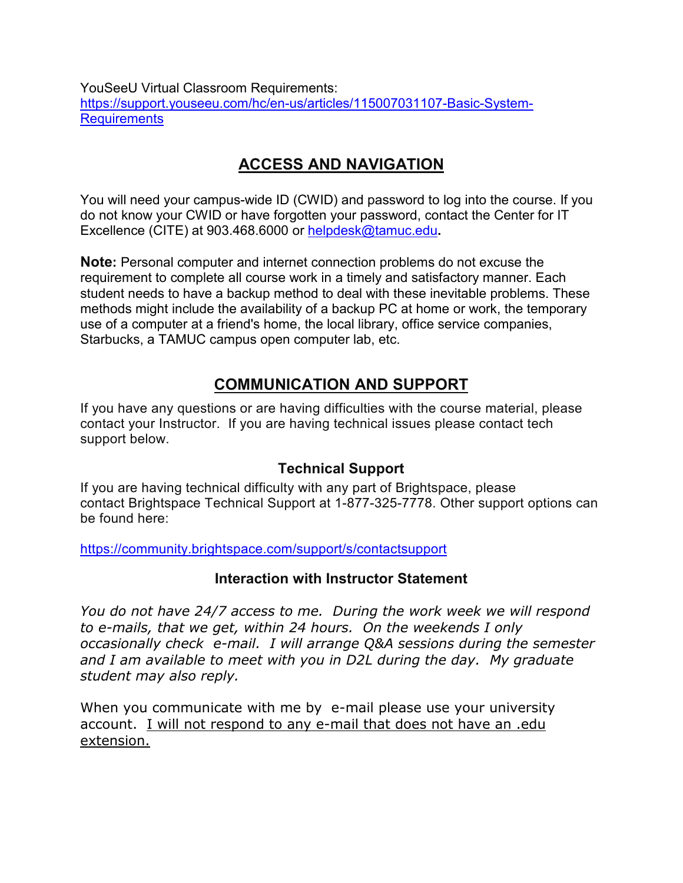YouSeeU Virtual Classroom Requirements: [https://support.youseeu.com/hc/en-us/articles/115007031107-Basic-System-](https://support.youseeu.com/hc/en-us/articles/115007031107-Basic-System-Requirements)**[Requirements](https://support.youseeu.com/hc/en-us/articles/115007031107-Basic-System-Requirements)** 

# **ACCESS AND NAVIGATION**

You will need your campus-wide ID (CWID) and password to log into the course. If you do not know your CWID or have forgotten your password, contact the Center for IT Excellence (CITE) at 903.468.6000 or [helpdesk@tamuc.edu](mailto:helpdesk@tamuc.edu)**.**

**Note:** Personal computer and internet connection problems do not excuse the requirement to complete all course work in a timely and satisfactory manner. Each student needs to have a backup method to deal with these inevitable problems. These methods might include the availability of a backup PC at home or work, the temporary use of a computer at a friend's home, the local library, office service companies, Starbucks, a TAMUC campus open computer lab, etc.

# **COMMUNICATION AND SUPPORT**

If you have any questions or are having difficulties with the course material, please contact your Instructor. If you are having technical issues please contact tech support below.

### **Technical Support**

If you are having technical difficulty with any part of Brightspace, please contact Brightspace Technical Support at 1-877-325-7778. Other support options can be found here:

<https://community.brightspace.com/support/s/contactsupport>

### **Interaction with Instructor Statement**

*You do not have 24/7 access to me. During the work week we will respond to e-mails, that we get, within 24 hours. On the weekends I only occasionally check e-mail. I will arrange Q&A sessions during the semester and I am available to meet with you in D2L during the day. My graduate student may also reply.*

When you communicate with me by e-mail please use your university account. I will not respond to any e-mail that does not have an .edu extension.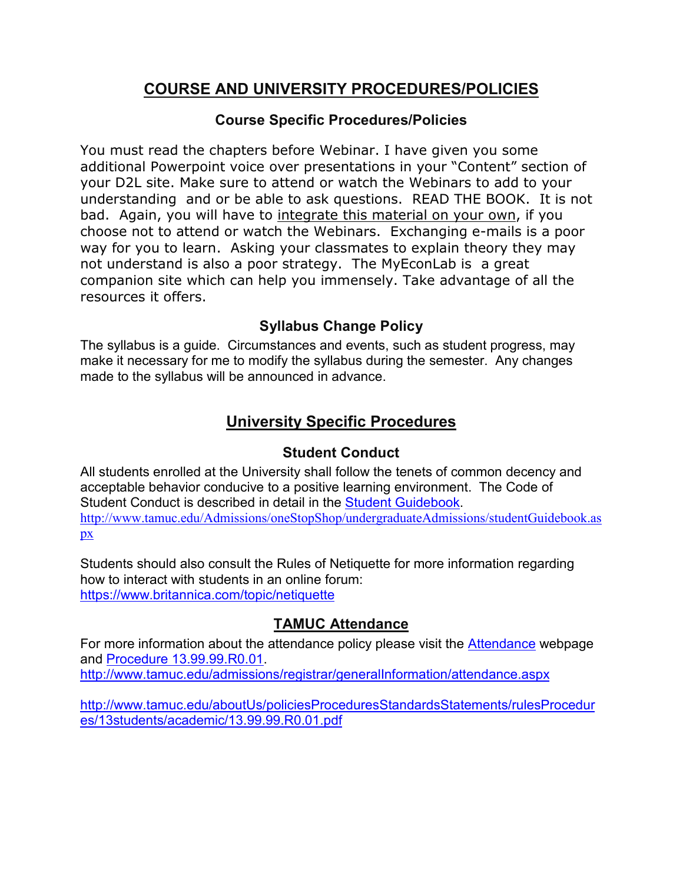# **COURSE AND UNIVERSITY PROCEDURES/POLICIES**

### **Course Specific Procedures/Policies**

You must read the chapters before Webinar. I have given you some additional Powerpoint voice over presentations in your "Content" section of your D2L site. Make sure to attend or watch the Webinars to add to your understanding and or be able to ask questions. READ THE BOOK. It is not bad. Again, you will have to integrate this material on your own, if you choose not to attend or watch the Webinars. Exchanging e-mails is a poor way for you to learn. Asking your classmates to explain theory they may not understand is also a poor strategy. The MyEconLab is a great companion site which can help you immensely. Take advantage of all the resources it offers.

# **Syllabus Change Policy**

The syllabus is a guide. Circumstances and events, such as student progress, may make it necessary for me to modify the syllabus during the semester. Any changes made to the syllabus will be announced in advance.

# **University Specific Procedures**

### **Student Conduct**

All students enrolled at the University shall follow the tenets of common decency and acceptable behavior conducive to a positive learning environment. The Code of Student Conduct is described in detail in the [Student Guidebook.](http://www.tamuc.edu/Admissions/oneStopShop/undergraduateAdmissions/studentGuidebook.aspx) [http://www.tamuc.edu/Admissions/oneStopShop/undergraduateAdmissions/studentGuidebook.as](http://www.tamuc.edu/Admissions/oneStopShop/undergraduateAdmissions/studentGuidebook.aspx) [px](http://www.tamuc.edu/Admissions/oneStopShop/undergraduateAdmissions/studentGuidebook.aspx)

Students should also consult the Rules of Netiquette for more information regarding how to interact with students in an online forum: <https://www.britannica.com/topic/netiquette>

# **TAMUC Attendance**

For more information about the attendance policy please visit the [Attendance](http://www.tamuc.edu/admissions/registrar/generalInformation/attendance.aspx) webpage and [Procedure 13.99.99.R0.01.](http://www.tamuc.edu/aboutUs/policiesProceduresStandardsStatements/rulesProcedures/13students/academic/13.99.99.R0.01.pdf) <http://www.tamuc.edu/admissions/registrar/generalInformation/attendance.aspx>

[http://www.tamuc.edu/aboutUs/policiesProceduresStandardsStatements/rulesProcedur](http://www.tamuc.edu/aboutUs/policiesProceduresStandardsStatements/rulesProcedures/13students/academic/13.99.99.R0.01.pdf) [es/13students/academic/13.99.99.R0.01.pdf](http://www.tamuc.edu/aboutUs/policiesProceduresStandardsStatements/rulesProcedures/13students/academic/13.99.99.R0.01.pdf)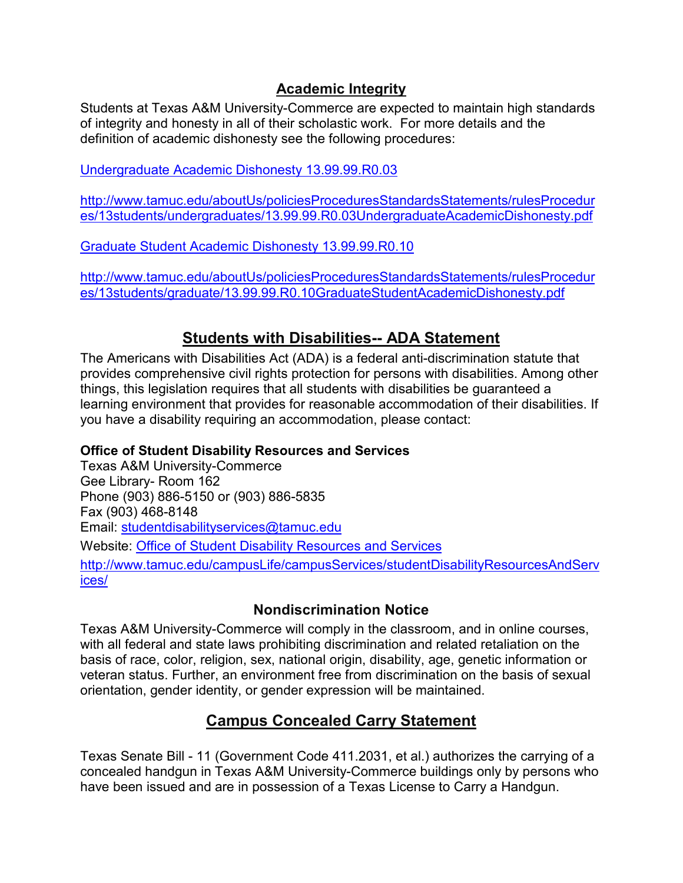#### **Academic Integrity**

Students at Texas A&M University-Commerce are expected to maintain high standards of integrity and honesty in all of their scholastic work. For more details and the definition of academic dishonesty see the following procedures:

[Undergraduate Academic Dishonesty 13.99.99.R0.03](http://www.tamuc.edu/aboutUs/policiesProceduresStandardsStatements/rulesProcedures/13students/undergraduates/13.99.99.R0.03UndergraduateAcademicDishonesty.pdf)

[http://www.tamuc.edu/aboutUs/policiesProceduresStandardsStatements/rulesProcedur](http://www.tamuc.edu/aboutUs/policiesProceduresStandardsStatements/rulesProcedures/13students/undergraduates/13.99.99.R0.03UndergraduateAcademicDishonesty.pdf) [es/13students/undergraduates/13.99.99.R0.03UndergraduateAcademicDishonesty.pdf](http://www.tamuc.edu/aboutUs/policiesProceduresStandardsStatements/rulesProcedures/13students/undergraduates/13.99.99.R0.03UndergraduateAcademicDishonesty.pdf)

Graduate [Student Academic Dishonesty 13.99.99.R0.10](http://www.tamuc.edu/aboutUs/policiesProceduresStandardsStatements/rulesProcedures/13students/graduate/13.99.99.R0.10GraduateStudentAcademicDishonesty.pdf)

[http://www.tamuc.edu/aboutUs/policiesProceduresStandardsStatements/rulesProcedur](http://www.tamuc.edu/aboutUs/policiesProceduresStandardsStatements/rulesProcedures/13students/graduate/13.99.99.R0.10GraduateStudentAcademicDishonesty.pdf) [es/13students/graduate/13.99.99.R0.10GraduateStudentAcademicDishonesty.pdf](http://www.tamuc.edu/aboutUs/policiesProceduresStandardsStatements/rulesProcedures/13students/graduate/13.99.99.R0.10GraduateStudentAcademicDishonesty.pdf)

### **Students with Disabilities-- ADA Statement**

The Americans with Disabilities Act (ADA) is a federal anti-discrimination statute that provides comprehensive civil rights protection for persons with disabilities. Among other things, this legislation requires that all students with disabilities be guaranteed a learning environment that provides for reasonable accommodation of their disabilities. If you have a disability requiring an accommodation, please contact:

#### **Office of Student Disability Resources and Services**

Texas A&M University-Commerce Gee Library- Room 162 Phone (903) 886-5150 or (903) 886-5835 Fax (903) 468-8148 Email: [studentdisabilityservices@tamuc.edu](mailto:studentdisabilityservices@tamuc.edu) Website: [Office of Student Disability Resources and Services](http://www.tamuc.edu/campusLife/campusServices/studentDisabilityResourcesAndServices/) [http://www.tamuc.edu/campusLife/campusServices/studentDisabilityResourcesAndServ](http://www.tamuc.edu/campusLife/campusServices/studentDisabilityResourcesAndServices/) [ices/](http://www.tamuc.edu/campusLife/campusServices/studentDisabilityResourcesAndServices/)

### **Nondiscrimination Notice**

Texas A&M University-Commerce will comply in the classroom, and in online courses, with all federal and state laws prohibiting discrimination and related retaliation on the basis of race, color, religion, sex, national origin, disability, age, genetic information or veteran status. Further, an environment free from discrimination on the basis of sexual orientation, gender identity, or gender expression will be maintained.

# **Campus Concealed Carry Statement**

Texas Senate Bill - 11 (Government Code 411.2031, et al.) authorizes the carrying of a concealed handgun in Texas A&M University-Commerce buildings only by persons who have been issued and are in possession of a Texas License to Carry a Handgun.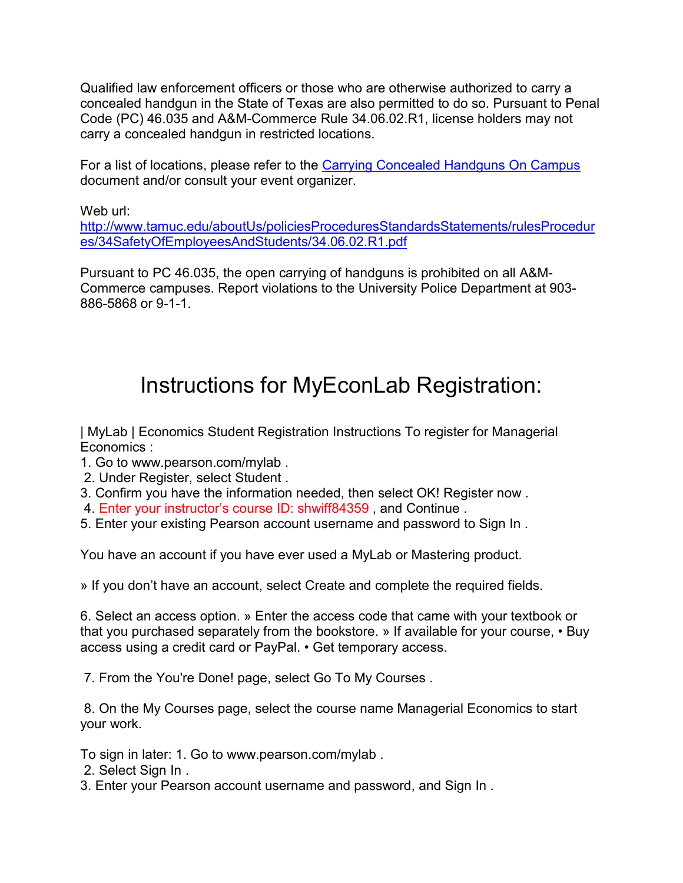Qualified law enforcement officers or those who are otherwise authorized to carry a concealed handgun in the State of Texas are also permitted to do so. Pursuant to Penal Code (PC) 46.035 and A&M-Commerce Rule 34.06.02.R1, license holders may not carry a concealed handgun in restricted locations.

For a list of locations, please refer to the [Carrying Concealed Handguns On Campus](http://www.tamuc.edu/aboutUs/policiesProceduresStandardsStatements/rulesProcedures/34SafetyOfEmployeesAndStudents/34.06.02.R1.pdf) document and/or consult your event organizer.

Web url:

[http://www.tamuc.edu/aboutUs/policiesProceduresStandardsStatements/rulesProcedur](http://www.tamuc.edu/aboutUs/policiesProceduresStandardsStatements/rulesProcedures/34SafetyOfEmployeesAndStudents/34.06.02.R1.pdf) [es/34SafetyOfEmployeesAndStudents/34.06.02.R1.pdf](http://www.tamuc.edu/aboutUs/policiesProceduresStandardsStatements/rulesProcedures/34SafetyOfEmployeesAndStudents/34.06.02.R1.pdf)

Pursuant to PC 46.035, the open carrying of handguns is prohibited on all A&M-Commerce campuses. Report violations to the University Police Department at 903- 886-5868 or 9-1-1.

# Instructions for MyEconLab Registration:

| MyLab | Economics Student Registration Instructions To register for Managerial Economics :

- 1. Go to www.pearson.com/mylab .
- 2. Under Register, select Student .
- 3. Confirm you have the information needed, then select OK! Register now .
- 4. Enter your instructor's course ID: shwiff84359 , and Continue .
- 5. Enter your existing Pearson account username and password to Sign In .

You have an account if you have ever used a MyLab or Mastering product.

» If you don't have an account, select Create and complete the required fields.

6. Select an access option. » Enter the access code that came with your textbook or that you purchased separately from the bookstore. » If available for your course, • Buy access using a credit card or PayPal. • Get temporary access.

7. From the You're Done! page, select Go To My Courses .

8. On the My Courses page, select the course name Managerial Economics to start your work.

To sign in later: 1. Go to www.pearson.com/mylab .

2. Select Sign In .

3. Enter your Pearson account username and password, and Sign In .